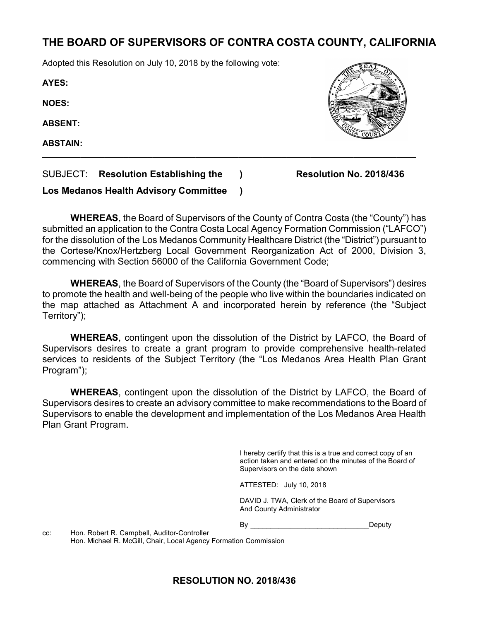# THE BOARD OF SUPERVISORS OF CONTRA COSTA COUNTY, CALIFORNIA

Adopted this Resolution on July 10, 2018 by the following vote:

AYES:

NOES:

ABSENT:

ABSTAIN:

SUBJECT: Resolution Establishing the ) Resolution No. 2018/436

Los Medanos Health Advisory Committee )

WHEREAS, the Board of Supervisors of the County of Contra Costa (the "County") has submitted an application to the Contra Costa Local Agency Formation Commission ("LAFCO") for the dissolution of the Los Medanos Community Healthcare District (the "District") pursuant to the Cortese/Knox/Hertzberg Local Government Reorganization Act of 2000, Division 3, commencing with Section 56000 of the California Government Code;

 $\mathcal{L}_\text{max}$  and  $\mathcal{L}_\text{max}$  and  $\mathcal{L}_\text{max}$  and  $\mathcal{L}_\text{max}$  and  $\mathcal{L}_\text{max}$  and  $\mathcal{L}_\text{max}$ 

WHEREAS, the Board of Supervisors of the County (the "Board of Supervisors") desires to promote the health and well-being of the people who live within the boundaries indicated on the map attached as Attachment A and incorporated herein by reference (the "Subject Territory");

WHEREAS, contingent upon the dissolution of the District by LAFCO, the Board of Supervisors desires to create a grant program to provide comprehensive health-related services to residents of the Subject Territory (the "Los Medanos Area Health Plan Grant Program");

WHEREAS, contingent upon the dissolution of the District by LAFCO, the Board of Supervisors desires to create an advisory committee to make recommendations to the Board of Supervisors to enable the development and implementation of the Los Medanos Area Health Plan Grant Program.

> I hereby certify that this is a true and correct copy of an action taken and entered on the minutes of the Board of Supervisors on the date shown

ATTESTED: July 10, 2018

DAVID J. TWA, Clerk of the Board of Supervisors And County Administrator

By Deputy

cc: Hon. Robert R. Campbell, Auditor-Controller Hon. Michael R. McGill, Chair, Local Agency Formation Commission

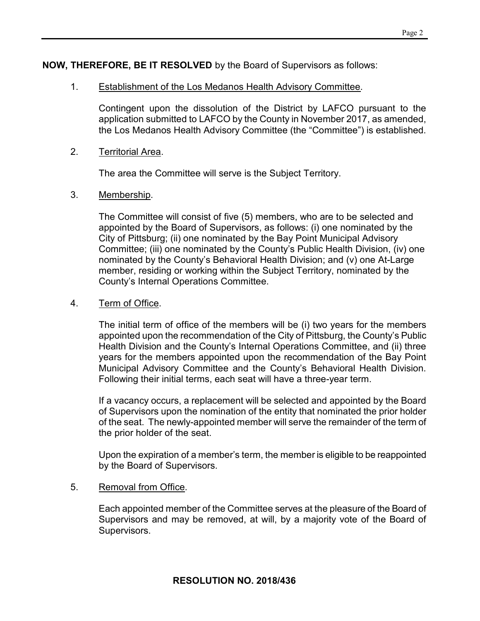### NOW, THEREFORE, BE IT RESOLVED by the Board of Supervisors as follows:

### 1. Establishment of the Los Medanos Health Advisory Committee.

Contingent upon the dissolution of the District by LAFCO pursuant to the application submitted to LAFCO by the County in November 2017, as amended, the Los Medanos Health Advisory Committee (the "Committee") is established.

### 2. Territorial Area.

The area the Committee will serve is the Subject Territory.

## 3. Membership.

The Committee will consist of five (5) members, who are to be selected and appointed by the Board of Supervisors, as follows: (i) one nominated by the City of Pittsburg; (ii) one nominated by the Bay Point Municipal Advisory Committee; (iii) one nominated by the County's Public Health Division, (iv) one nominated by the County's Behavioral Health Division; and (v) one At-Large member, residing or working within the Subject Territory, nominated by the County's Internal Operations Committee.

# 4. Term of Office.

The initial term of office of the members will be (i) two years for the members appointed upon the recommendation of the City of Pittsburg, the County's Public Health Division and the County's Internal Operations Committee, and (ii) three years for the members appointed upon the recommendation of the Bay Point Municipal Advisory Committee and the County's Behavioral Health Division. Following their initial terms, each seat will have a three-year term.

If a vacancy occurs, a replacement will be selected and appointed by the Board of Supervisors upon the nomination of the entity that nominated the prior holder of the seat. The newly-appointed member will serve the remainder of the term of the prior holder of the seat.

Upon the expiration of a member's term, the member is eligible to be reappointed by the Board of Supervisors.

#### 5. Removal from Office.

Each appointed member of the Committee serves at the pleasure of the Board of Supervisors and may be removed, at will, by a majority vote of the Board of Supervisors.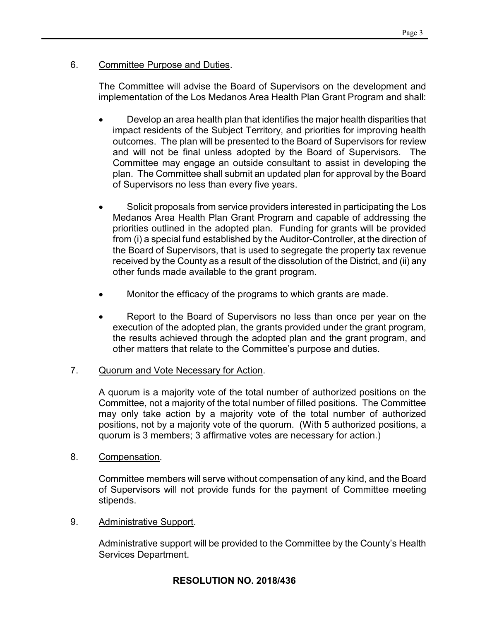### 6. Committee Purpose and Duties.

The Committee will advise the Board of Supervisors on the development and implementation of the Los Medanos Area Health Plan Grant Program and shall:

- Develop an area health plan that identifies the major health disparities that impact residents of the Subject Territory, and priorities for improving health outcomes. The plan will be presented to the Board of Supervisors for review and will not be final unless adopted by the Board of Supervisors. The Committee may engage an outside consultant to assist in developing the plan. The Committee shall submit an updated plan for approval by the Board of Supervisors no less than every five years.
- Solicit proposals from service providers interested in participating the Los Medanos Area Health Plan Grant Program and capable of addressing the priorities outlined in the adopted plan. Funding for grants will be provided from (i) a special fund established by the Auditor-Controller, at the direction of the Board of Supervisors, that is used to segregate the property tax revenue received by the County as a result of the dissolution of the District, and (ii) any other funds made available to the grant program.
- Monitor the efficacy of the programs to which grants are made.
- Report to the Board of Supervisors no less than once per year on the execution of the adopted plan, the grants provided under the grant program, the results achieved through the adopted plan and the grant program, and other matters that relate to the Committee's purpose and duties.

#### 7. Quorum and Vote Necessary for Action.

A quorum is a majority vote of the total number of authorized positions on the Committee, not a majority of the total number of filled positions. The Committee may only take action by a majority vote of the total number of authorized positions, not by a majority vote of the quorum. (With 5 authorized positions, a quorum is 3 members; 3 affirmative votes are necessary for action.)

#### 8. Compensation.

Committee members will serve without compensation of any kind, and the Board of Supervisors will not provide funds for the payment of Committee meeting stipends.

9. Administrative Support.

Administrative support will be provided to the Committee by the County's Health Services Department.

# RESOLUTION NO. 2018/436